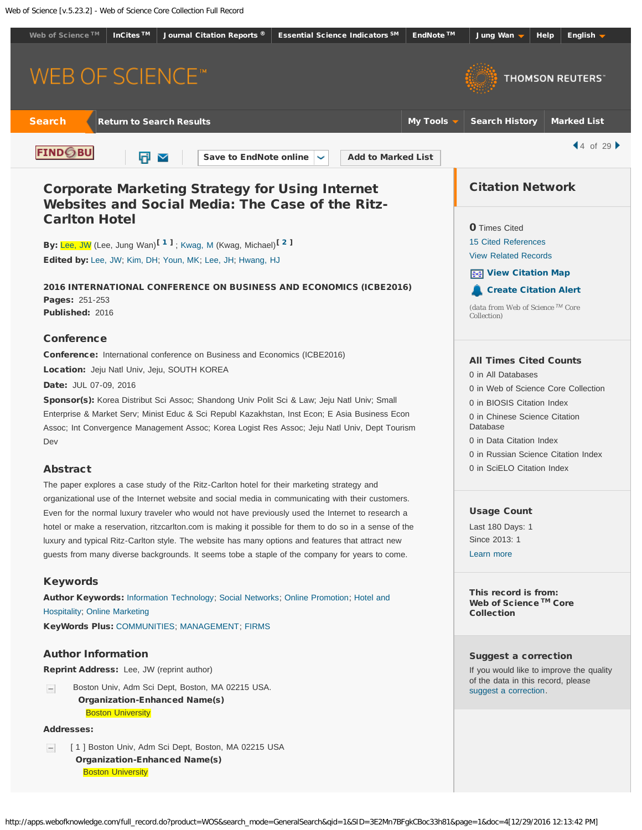<span id="page-0-1"></span><span id="page-0-0"></span>